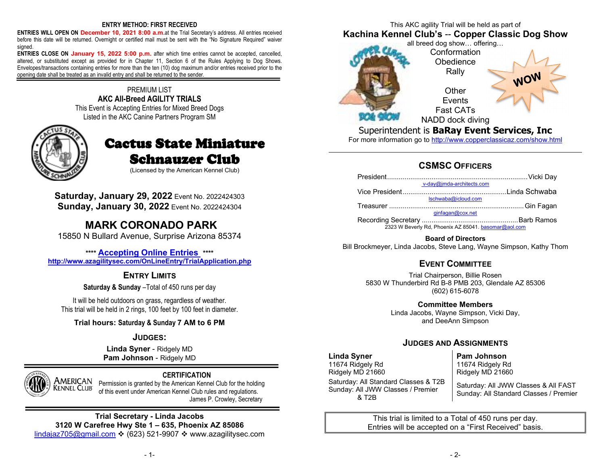#### **ENTRY METHOD: FIRST RECEIVED**

 **ENTRIES WILL OPEN ON December 10, 2021 8:00 a.m**.at the Trial Secretary's address. All entries received before this date will be returned. Overnight or certified mail must be sent with the "No Signature Required" waiver signed.

 **ENTRIES CLOSE ON January 15, 2022 5:00 p.m.** after which time entries cannot be accepted, cancelled, altered, or substituted except as provided for in Chapter 11, Section 6 of the Rules Applying to Dog Shows. Envelopes/transactions containing entries for more than the ten (10) dog maximum and/or entries received prior to the opening date shall be treated as an invalid entry and shall be returned to the sender.

#### PREMIUM LIST **AKC All-Breed AGILITY TRIALS**  This Event is Accepting Entries for Mixed Breed Dogs Listed in the AKC Canine Partners Program SM



# Cactus State Miniature **Schnauzer Club**

(Licensed by the American Kennel Club)

**Saturday, January 29, 2022** Event No. 2022424303**Sunday, January 30, 2022** Event No. 2022424304

## **MARK CORONADO PARK**

15850 N Bullard Avenue, Surprise Arizona 85374

**\*\*\*\* Accepting Online Entries \*\*\*\* http://www.azagilitysec.com/OnLineEntry/TrialApplication.php**

### **ENTRY LIMITS**

**Saturday & Sunday** –Total of 450 runs per day

It will be held outdoors on grass, regardless of weather. This trial will be held in 2 rings, 100 feet by 100 feet in diameter.

**Trial hours: Saturday & Sunday 7 AM to 6 PM** 

#### **JUDGES:**

**Linda Syner** - Ridgely MD**Pam Johnson** - Ridgely MD



#### **CERTIFICATION**

 Permission is granted by the American Kennel Club for the holding of this event under American Kennel Club rules and regulations. James P. Crowley, Secretary

#### **Trial Secretary - Linda Jacobs 3120 W Carefree Hwy Ste 1 – 635, Phoenix AZ 85086** lindajaz705@gmail.com ❖ (623) 521-9907 ❖ www.azagilitysec.com

This AKC agility Trial will be held as part of **Kachina Kennel Club's** -- **Copper Classic Dog Show** 



Superintendent is **BaRay Event Services, Inc** 

For more information go to <u>http://www.copperclassicaz.com/show.html</u>

### **CSMSCOFFICERS**

| v-day@jmda-architects.com                            |  |
|------------------------------------------------------|--|
|                                                      |  |
| Ischwaba@icloud.com                                  |  |
|                                                      |  |
|                                                      |  |
|                                                      |  |
| 2323 W Beverly Rd, Phoenix AZ 85041, basomar@aol.com |  |
|                                                      |  |

**Board of Directors** Bill Brockmeyer, Linda Jacobs, Steve Lang, Wayne Simpson, Kathy Thom

### **EVENT COMMITTEE**

 Trial Chairperson, Billie Rosen 5830 W Thunderbird Rd B-8 PMB 203, Glendale AZ 85306 (602) 615-6078

> **Committee Members**  Linda Jacobs, Wayne Simpson, Vicki Day, and DeeAnn Simpson

### **JUDGES AND ASSIGNMENTS**

#### **Linda Syner**

 11674 Ridgely Rd Ridgely MD 21660 Saturday: All Standard Classes & T2B Sunday: All JWW Classes / Premier & T2B

**Pam Johnson**

 11674 Ridgely Rd Ridgely MD 21660

Saturday: All JWW Classes & All FAST Sunday: All Standard Classes / Premier

This trial is limited to a Total of 450 runs per day. Entries will be accepted on a "First Received" basis.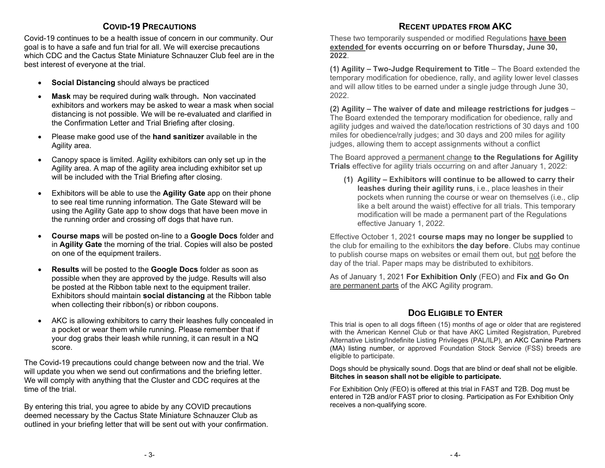#### **COVID-19PRECAUTIONS**

 Covid-19 continues to be a health issue of concern in our community. Our goal is to have a safe and fun trial for all. We will exercise precautions which CDC and the Cactus State Miniature Schnauzer Club feel are in the best interest of everyone at the trial.

- $\bullet$ **Social Distancing** should always be practiced
- . **Mask** may be required during walk through**.** Non vaccinated exhibitors and workers may be asked to wear a mask when social distancing is not possible. We will be re-evaluated and clarified in the Confirmation Letter and Trial Briefing after closing.
- Please make good use of the **hand sanitizer** available in the Agility area.
- Canopy space is limited. Agility exhibitors can only set up in the Agility area. A map of the agility area including exhibitor set up will be included with the Trial Briefing after closing.
- Exhibitors will be able to use the **Agility Gate** app on their phone to see real time running information. The Gate Steward will be using the Agility Gate app to show dogs that have been move in the running order and crossing off dogs that have run.
- $\bullet$  **Course maps** will be posted on-line to a **Google Docs** folder and in **Agility Gate** the morning of the trial. Copies will also be posted on one of the equipment trailers.
- . **Results** will be posted to the **Google Docs** folder as soon as possible when they are approved by the judge. Results will also be posted at the Ribbon table next to the equipment trailer. Exhibitors should maintain **social distancing** at the Ribbon table when collecting their ribbon(s) or ribbon coupons.
- AKC is allowing exhibitors to carry their leashes fully concealed in a pocket or wear them while running. Please remember that if your dog grabs their leash while running, it can result in a NQ score.

The Covid-19 precautions could change between now and the trial. We will update you when we send out confirmations and the briefing letter. We will comply with anything that the Cluster and CDC requires at the time of the trial.

By entering this trial, you agree to abide by any COVID precautions deemed necessary by the Cactus State Miniature Schnauzer Club as outlined in your briefing letter that will be sent out with your confirmation.

### **RECENT UPDATES FROM AKC**

 These two temporarily suspended or modified Regulations **have been extended for events occurring on or before Thursday, June 30, 2022**.

**(1) Agility – Two-Judge Requirement to Title** – The Board extended the temporary modification for obedience, rally, and agility lower level classes and will allow titles to be earned under a single judge through June 30, 2022.

**(2) Agility – The waiver of date and mileage restrictions for judges** – The Board extended the temporary modification for obedience, rally and agility judges and waived the date/location restrictions of 30 days and 100 miles for obedience/rally judges; and 30 days and 200 miles for agility judges, allowing them to accept assignments without a conflict

The Board approved a permanent change **to the Regulations for Agility Trials** effective for agility trials occurring on and after January 1, 2022:

**(1) Agility – Exhibitors will continue to be allowed to carry their leashes during their agility runs**, i.e., place leashes in their pockets when running the course or wear on themselves (i.e., clip like a belt around the waist) effective for all trials. This temporary modification will be made a permanent part of the Regulations effective January 1, 2022.

Effective October 1, 2021 **course maps may no longer be supplied** to the club for emailing to the exhibitors **the day before**. Clubs may continue to publish course maps on websites or email them out, but not before the day of the trial. Paper maps may be distributed to exhibitors.

As of January 1, 2021 **For Exhibition Only** (FEO) and **Fix and Go On**are permanent parts of the AKC Agility program.

### **DOG ELIGIBLE TO ENTER**

 This trial is open to all dogs fifteen (15) months of age or older that are registered with the American Kennel Club or that have AKC Limited Registration, Purebred Alternative Listing/Indefinite Listing Privileges (PAL/ILP), an AKC Canine Partners (MA) listing number, or approved Foundation Stock Service (FSS) breeds are eligible to participate.

Dogs should be physically sound. Dogs that are blind or deaf shall not be eligible. **Bitches in season shall not be eligible to participate.**

For Exhibition Only (FEO) is offered at this trial in FAST and T2B. Dog must be entered in T2B and/or FAST prior to closing. Participation as For Exhibition Only receives a non-qualifying score.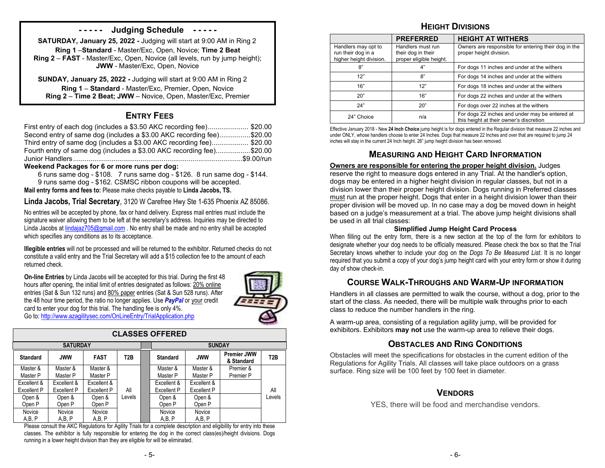### **- - - - - Judging Schedule - - - - -**

**SATURDAY, January 25, 2022 -** Judging will start at 9:00 AM in Ring 2**Ring 1** –**Standard** - Master/Exc, Open, Novice; **Time 2 Beat Ring 2** – **FAST** - Master/Exc, Open, Novice (all levels, run by jump height); **JWW** - Master/Exc, Open, Novice

**SUNDAY, January 25, 2022 -** Judging will start at 9:00 AM in Ring 2 **Ring 1** – **Standard** - Master/Exc, Premier, Open, Novice **Ring 2** – **Time 2 Beat; JWW** – Novice, Open, Master/Exc, Premier

### **ENTRY FEES**

| First entry of each dog (includes a \$3.50 AKC recording fee) \$20.00 |  |
|-----------------------------------------------------------------------|--|
| Second entry of same dog (includes a \$3.00 AKC recording fee)\$20.00 |  |
| Third entry of same dog (includes a \$3.00 AKC recording fee) \$20.00 |  |
| Fourth entry of same dog (includes a \$3.00 AKC recording fee)\$20.00 |  |
|                                                                       |  |

#### **Weekend Packages for 6 or more runs per dog:**

 6 runs same dog - \$108. 7 runs same dog - \$126. 8 run same dog - \$144. 9 runs same dog - \$162. CSMSC ribbon coupons will be accepted.**Mail entry forms and fees to:** Please make checks payable to **Linda Jacobs, TS.**

**Linda Jacobs, Trial Secretary**, 3120 W Carefree Hwy Ste 1-635 Phoenix AZ 85086.

No entries will be accepted by phone, fax or hand delivery. Express mail entries must include the signature waiver allowing them to be left at the secretary's address. Inquiries may be directed to Linda Jacobs at lindajaz705@gmail.com . No entry shall be made and no entry shall be accepted which specifies any conditions as to its acceptance.

**Illegible entries** will not be processed and will be returned to the exhibitor. Returned checks do not constitute a valid entry and the Trial Secretary will add a \$15 collection fee to the amount of each returned check.

**On-line Entries** by Linda Jacobs will be accepted for this trial. During the first 48 hours after opening, the initial limit of entries designated as follows: 20% online entries (Sat & Sun 132 runs) and 80% paper entries (Sat & Sun 528 runs). After the 48 hour time period, the ratio no longer applies. Use *PayPal* or your credit card to enter your dog for this trial. The handling fee is only 4%. Go to: http://www.azagilitysec.com/OnLineEntry/TrialApplication.php



| <b>CLASSES OFFERED</b> |                 |             |        |  |                 |                    |                                  |        |  |
|------------------------|-----------------|-------------|--------|--|-----------------|--------------------|----------------------------------|--------|--|
|                        | <b>SATURDAY</b> |             |        |  |                 | <b>SUNDAY</b>      |                                  |        |  |
| <b>Standard</b>        | <b>JWW</b>      | <b>FAST</b> | T2B    |  | <b>Standard</b> | <b>JWW</b>         | <b>Premier JWW</b><br>& Standard | T2B    |  |
| Master &               | Master &        | Master &    |        |  | Master &        | Master &           | Premier &                        |        |  |
| Master P               | Master P        | Master P    |        |  | Master P        | Master P           | Premier P                        |        |  |
| Excellent &            | Excellent &     | Excellent & |        |  | Excellent &     | Excellent &        |                                  |        |  |
| Excellent P            | Excellent P     | Excellent P | All    |  | Excellent P     | <b>Excellent P</b> |                                  | All    |  |
| Open &                 | Open &          | Open &      | Levels |  | Open &          | Open &             |                                  | Levels |  |
| Open P                 | Open P          | Open P      |        |  | Open P          | Open P             |                                  |        |  |
| Novice                 | Novice          | Novice      |        |  | Novice          | Novice             |                                  |        |  |
| A,B,P                  | A,B, P          | A,B,P       |        |  | A,B,P           | A,B,P              |                                  |        |  |

 Please consult the AKC Regulations for Agility Trials for a complete description and eligibility for entry into these classes. The exhibitor is fully responsible for entering the dog in the correct class(es)/height divisions. Dogs running in a lower height division than they are eligible for will be eliminated.

### **HEIGHT DIVISIONS**

|                                                                      | <b>PREFERRED</b>                                                   | <b>HEIGHT AT WITHERS</b>                                                                  |
|----------------------------------------------------------------------|--------------------------------------------------------------------|-------------------------------------------------------------------------------------------|
| Handlers may opt to<br>run their dog in a<br>higher height division. | Handlers must run<br>their dog in their<br>proper eligible height. | Owners are responsible for entering their dog in the<br>proper height division.           |
| 8"                                                                   | 4"                                                                 | For dogs 11 inches and under at the withers                                               |
| 12"                                                                  | 8"                                                                 | For dogs 14 inches and under at the withers                                               |
| 16"                                                                  | 12"                                                                | For dogs 18 inches and under at the withers                                               |
| 20"                                                                  | 16"                                                                | For dogs 22 inches and under at the withers                                               |
| 24"                                                                  | 20"                                                                | For dogs over 22 inches at the withers                                                    |
| 24" Choice                                                           | n/a                                                                | For dogs 22 inches and under may be entered at<br>this height at their owner's discretion |

 Effective January 2018 - New **24 Inch Choice** jump height is for dogs entered in the Regular division that measure 22 inches and under ONLY, whose handlers choose to enter 24 Inches. Dogs that measure 22 Inches and over that are required to jump 24 inches will stay in the current 24 Inch height. 26" jump height division has been removed.

#### **MEASURING AND HEIGHT CARD INFORMATION**

#### **Owners are responsible for entering the proper height division.** Judges

 reserve the right to measure dogs entered in any Trial. At the handler's option, dogs may be entered in a higher height division in regular classes, but not in a division lower than their proper height division. Dogs running in Preferred classes must run at the proper height. Dogs that enter in a height division lower than their proper division will be moved up. In no case may a dog be moved down in height based on a judge's measurement at a trial. The above jump height divisions shall be used in all trial classes:

#### **Simplified Jump Height Card Process**

 When filling out the entry form, there is a new section at the top of the form for exhibitors to designate whether your dog needs to be officially measured. Please check the box so that the Trial Secretary knows whether to include your dog on the *Dogs To Be Measured List*. It is no longer required that you submit a copy of your dog's jump height card with your entry form or show it during day of show check-in.

### **COURSE WALK-THROUGHS AND WARM-UP INFORMATION**

 Handlers in all classes are permitted to walk the course, without a dog, prior to the start of the class. As needed, there will be multiple walk throughs prior to each class to reduce the number handlers in the ring.

A warm-up area, consisting of a regulation agility jump, will be provided for exhibitors. Exhibitors **may not** use the warm-up area to relieve their dogs.

### **OBSTACLES AND RING CONDITIONS**

 Obstacles will meet the specifications for obstacles in the current edition of the Regulations for Agility Trials. All classes will take place outdoors on a grass surface. Ring size will be 100 feet by 100 feet in diameter.

#### **VENDORS**

YES, there will be food and merchandise vendors.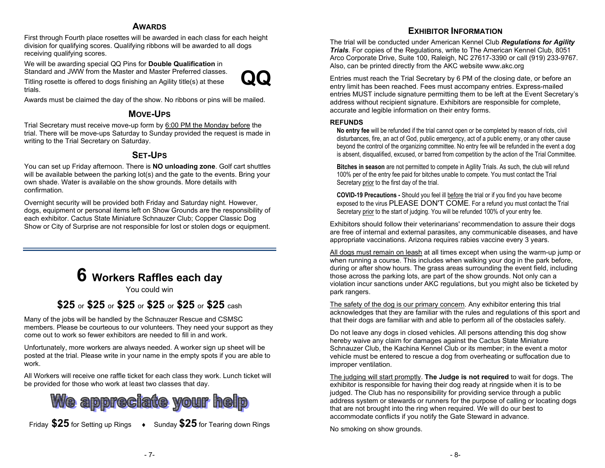#### **AWARDS**

 First through Fourth place rosettes will be awarded in each class for each height division for qualifying scores. Qualifying ribbons will be awarded to all dogs receiving qualifying scores.

We will be awarding special QQ Pins for **Double Qualification** in Standard and JWW from the Master and Master Preferred classes.<br>The Maritan March 1990 of the Contract of the Contract of the Contract of the Contract of the Contract of the Contract of the Contract of the Contract of the C



Titling rosette is offered to dogs finishing an Agility title(s) at these trials.

Awards must be claimed the day of the show. No ribbons or pins will be mailed.

### **MOVE-UPS**

Trial Secretary must receive move-up form by 6:00 PM the Monday before the trial. There will be move-ups Saturday to Sunday provided the request is made in writing to the Trial Secretary on Saturday.

#### **SET-UPS**

 You can set up Friday afternoon. There is **NO unloading zone**. Golf cart shuttles will be available between the parking lot(s) and the gate to the events. Bring your own shade. Water is available on the show grounds. More details with confirmation.

Overnight security will be provided both Friday and Saturday night. However, dogs, equipment or personal items left on Show Grounds are the responsibility of each exhibitor. Cactus State Miniature Schnauzer Club; Copper Classic Dog Show or City of Surprise are not responsible for lost or stolen dogs or equipment.

# **6 Workers Raffles each day**

You could win

# **\$25** or **\$25** or **\$25** or **\$25** or **\$25** or **\$25** cash

Many of the jobs will be handled by the Schnauzer Rescue and CSMSC members. Please be courteous to our volunteers. They need your support as they come out to work so fewer exhibitors are needed to fill in and work.

Unfortunately, more workers are always needed. A worker sign up sheet will be posted at the trial. Please write in your name in the empty spots if you are able to work.

All Workers will receive one raffle ticket for each class they work. Lunch ticket will be provided for those who work at least two classes that day.



**Friday \$25** for Setting up Rings  $\rightarrow$  Sunday \$25 for Tearing down Rings

### **EXHIBITOR INFORMATION**

 The trial will be conducted under American Kennel Club *Regulations for Agility Trials.* For copies of the Regulations, write to The American Kennel Club, 8051 Arco Corporate Drive, Suite 100, Raleigh, NC 27617-3390 or call (919) 233-9767.Also, can be printed directly from the AKC website www.akc.org

Entries must reach the Trial Secretary by 6 PM of the closing date, or before an entry limit has been reached. Fees must accompany entries. Express-mailed entries MUST include signature permitting them to be left at the Event Secretary's address without recipient signature. Exhibitors are responsible for complete, accurate and legible information on their entry forms.

#### **REFUNDS**

 **No entry fee** will be refunded if the trial cannot open or be completed by reason of riots, civil disturbances, fire, an act of God, public emergency, act of a public enemy, or any other cause beyond the control of the organizing committee. No entry fee will be refunded in the event a dog is absent, disqualified, excused, or barred from competition by the action of the Trial Committee.

**Bitches in season** are not permitted to compete in Agility Trials. As such, the club will refund 100% per of the entry fee paid for bitches unable to compete. You must contact the Trial Secretary prior to the first day of the trial.

**COVID-19 Precautions -** Should you feel ill before the trial or if you find you have become exposed to the virus PLEASE DON'T COME. For a refund you must contact the Trial Secretary prior to the start of judging. You will be refunded 100% of your entry fee.

Exhibitors should follow their veterinarians' recommendation to assure their dogs are free of internal and external parasites, any communicable diseases, and have appropriate vaccinations. Arizona requires rabies vaccine every 3 years.

All dogs must remain on leash at all times except when using the warm-up jump or when running a course. This includes when walking your dog in the park before, during or after show hours. The grass areas surrounding the event field, including those across the parking lots, are part of the show grounds. Not only can a violation incur sanctions under AKC regulations, but you might also be ticketed by park rangers.

The safety of the dog is our primary concern. Any exhibitor entering this trial acknowledges that they are familiar with the rules and regulations of this sport and that their dogs are familiar with and able to perform all of the obstacles safely.

Do not leave any dogs in closed vehicles. All persons attending this dog show hereby waive any claim for damages against the Cactus State Miniature Schnauzer Club, the Kachina Kennel Club or its member; in the event a motor vehicle must be entered to rescue a dog from overheating or suffocation due to improper ventilation.

The judging will start promptly. **The Judge is not required** to wait for dogs. The exhibitor is responsible for having their dog ready at ringside when it is to be judged. The Club has no responsibility for providing service through a public address system or stewards or runners for the purpose of calling or locating dogs that are not brought into the ring when required. We will do our best to accommodate conflicts if you notify the Gate Steward in advance.

No smoking on show grounds.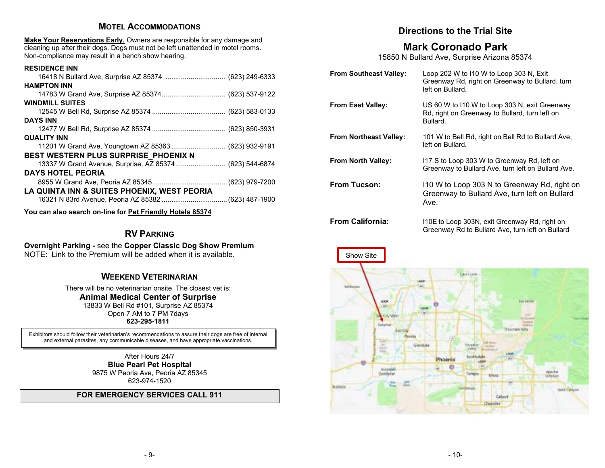#### **MOTEL ACCOMMODATIONS**

**Make Your Reservations Early,** Owners are responsible for any damage and cleaning up after their dogs. Dogs must not be left unattended in motel rooms. Non-compliance may result in a bench show hearing.

| <b>RESIDENCE INN</b>                                    |  |
|---------------------------------------------------------|--|
| 16418 N Bullard Ave, Surprise AZ 85374  (623) 249-6333  |  |
| <b>HAMPTON INN</b>                                      |  |
| 14783 W Grand Ave, Surprise AZ 85374 (623) 537-9122     |  |
| <b>WINDMILL SUITES</b>                                  |  |
|                                                         |  |
| <b>DAYS INN</b>                                         |  |
|                                                         |  |
| <b>QUALITY INN</b>                                      |  |
| 11201 W Grand Ave, Youngtown AZ 85363  (623) 932-9191   |  |
| BEST WESTERN PLUS SURPRISE PHOENIX N                    |  |
| 13337 W Grand Avenue, Surprise, AZ 85374 (623) 544-6874 |  |
| <b>DAYS HOTEL PEORIA</b>                                |  |
|                                                         |  |
| LA QUINTA INN & SUITES PHOENIX, WEST PEORIA             |  |
| 16321 N 83rd Avenue, Peoria AZ 85382  (623) 487-1900    |  |
|                                                         |  |

**You can also search on-line for Pet Friendly Hotels 85374**

# **RV <sup>P</sup>ARKING**

**Overnight Parking -** see the **Copper Classic Dog Show Premium** NOTE: Link to the Premium will be added when it is available.

### **WEEKEND VETERINARIAN**

There will be no veterinarian onsite. The closest vet is: **Animal Medical Center of Surprise** 13833 W Bell Rd #101, Surprise AZ 85374 Open 7 AM to 7 PM 7days **623-295-1811** 

Exhibitors should follow their veterinarian's recommendations to assure their dogs are free of internal and external parasites, any communicable diseases, and have appropriate vaccinations.

> After Hours 24/7 **Blue Pearl Pet Hospital**  9875 W Peoria Ave, Peoria AZ 85345 623-974-1520

#### **FOR EMERGENCY SERVICES CALL 911**

### **Directions to the Trial Site**

### **Mark Coronado Park**

15850 N Bullard Ave, Surprise Arizona 85374

| <b>From Southeast Valley:</b> | Loop 202 W to 110 W to Loop 303 N, Exit<br>Greenway Rd, right on Greenway to Bullard, turn<br>left on Bullard. |
|-------------------------------|----------------------------------------------------------------------------------------------------------------|
| <b>From East Valley:</b>      | US 60 W to 110 W to Loop 303 N, exit Greenway<br>Rd, right on Greenway to Bullard, turn left on<br>Bullard.    |
| <b>From Northeast Valley:</b> | 101 W to Bell Rd, right on Bell Rd to Bullard Ave,<br>left on Bullard.                                         |
| <b>From North Valley:</b>     | 117 S to Loop 303 W to Greenway Rd, left on<br>Greenway to Bullard Ave, turn left on Bullard Ave.              |
| <b>From Tucson:</b>           | 110 W to Loop 303 N to Greenway Rd, right on<br>Greenway to Bullard Ave, turn left on Bullard<br>Ave.          |
| <b>From California:</b>       | 110E to Loop 303N, exit Greenway Rd, right on                                                                  |



Greenway Rd to Bullard Ave, turn left on Bullard